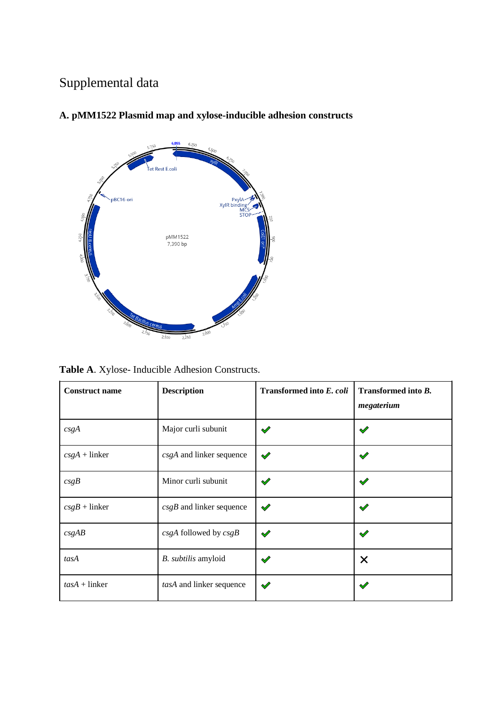# Supplemental data



# **A. pMM1522 Plasmid map and xylose-inducible adhesion constructs**

**Table A**. Xylose- Inducible Adhesion Constructs.

| <b>Construct name</b> | <b>Description</b>         | Transformed into E. coli | Transformed into B.<br>megaterium |
|-----------------------|----------------------------|--------------------------|-----------------------------------|
| csgA                  | Major curli subunit        | $\mathscr{Q}$            | $\checkmark$                      |
| $csgA + linker$       | csgA and linker sequence   | $\mathscr{S}$            | $\checkmark$                      |
| csgB                  | Minor curli subunit        | $\checkmark$             | $\checkmark$                      |
| $csgB +$ linker       | $csgB$ and linker sequence | $\checkmark$             | $\blacktriangledown$              |
| csgAB                 | $csgA$ followed by $csgB$  | $\mathscr{S}$            | $\checkmark$                      |
| tasA                  | B. subtilis amyloid        | $\checkmark$             | $\times$                          |
| $tasA + linker$       | tasA and linker sequence   | $\checkmark$             | $\checkmark$                      |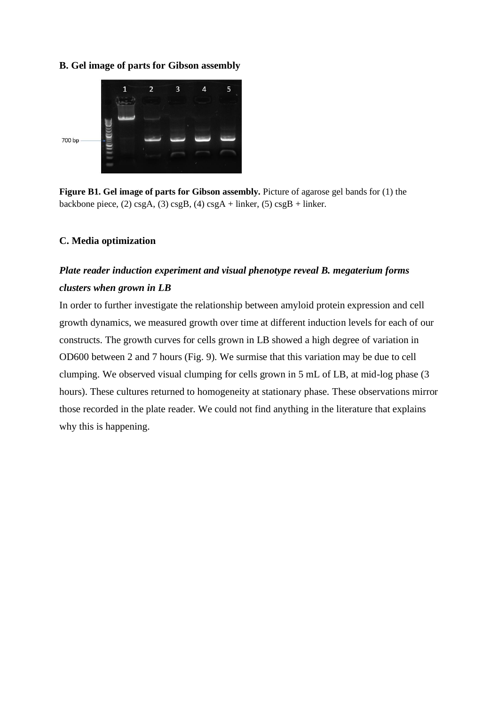#### **B. Gel image of parts for Gibson assembly**



**Figure B1. Gel image of parts for Gibson assembly.** Picture of agarose gel bands for (1) the backbone piece, (2) csgA, (3) csgB, (4) csgA + linker, (5) csgB + linker.

### **C. Media optimization**

# *Plate reader induction experiment and visual phenotype reveal B. megaterium forms clusters when grown in LB*

In order to further investigate the relationship between amyloid protein expression and cell growth dynamics, we measured growth over time at different induction levels for each of our constructs. The growth curves for cells grown in LB showed a high degree of variation in OD600 between 2 and 7 hours (Fig. 9). We surmise that this variation may be due to cell clumping. We observed visual clumping for cells grown in 5 mL of LB, at mid-log phase (3 hours). These cultures returned to homogeneity at stationary phase. These observations mirror those recorded in the plate reader. We could not find anything in the literature that explains why this is happening.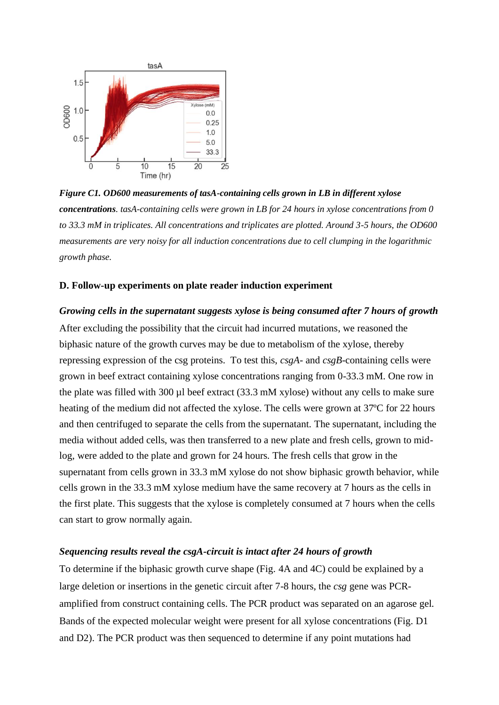

*Figure C1. OD600 measurements of tasA-containing cells grown in LB in different xylose concentrations. tasA-containing cells were grown in LB for 24 hours in xylose concentrations from 0 to 33.3 mM in triplicates. All concentrations and triplicates are plotted. Around 3-5 hours, the OD600 measurements are very noisy for all induction concentrations due to cell clumping in the logarithmic growth phase.*

#### **D. Follow-up experiments on plate reader induction experiment**

*Growing cells in the supernatant suggests xylose is being consumed after 7 hours of growth* After excluding the possibility that the circuit had incurred mutations, we reasoned the biphasic nature of the growth curves may be due to metabolism of the xylose, thereby repressing expression of the csg proteins.To test this, *csgA*- and *csgB*-containing cells were grown in beef extract containing xylose concentrations ranging from 0-33.3 mM. One row in the plate was filled with 300 µl beef extract (33.3 mM xylose) without any cells to make sure heating of the medium did not affected the xylose. The cells were grown at 37ºC for 22 hours and then centrifuged to separate the cells from the supernatant. The supernatant, including the media without added cells, was then transferred to a new plate and fresh cells, grown to midlog, were added to the plate and grown for 24 hours. The fresh cells that grow in the supernatant from cells grown in 33.3 mM xylose do not show biphasic growth behavior, while cells grown in the 33.3 mM xylose medium have the same recovery at 7 hours as the cells in the first plate. This suggests that the xylose is completely consumed at 7 hours when the cells can start to grow normally again.

#### *Sequencing results reveal the csgA-circuit is intact after 24 hours of growth*

To determine if the biphasic growth curve shape (Fig. 4A and 4C) could be explained by a large deletion or insertions in the genetic circuit after 7-8 hours, the *csg* gene was PCRamplified from construct containing cells. The PCR product was separated on an agarose gel. Bands of the expected molecular weight were present for all xylose concentrations (Fig. D1 and D2). The PCR product was then sequenced to determine if any point mutations had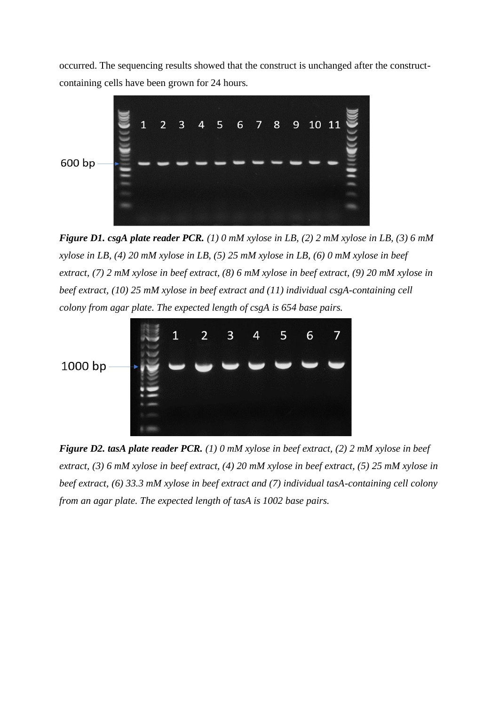occurred. The sequencing results showed that the construct is unchanged after the constructcontaining cells have been grown for 24 hours.



*Figure D1. csgA plate reader PCR. (1) 0 mM xylose in LB, (2) 2 mM xylose in LB, (3) 6 mM xylose in LB, (4) 20 mM xylose in LB, (5) 25 mM xylose in LB, (6) 0 mM xylose in beef extract, (7) 2 mM xylose in beef extract, (8) 6 mM xylose in beef extract, (9) 20 mM xylose in beef extract, (10) 25 mM xylose in beef extract and (11) individual csgA-containing cell colony from agar plate. The expected length of csgA is 654 base pairs.*



*Figure D2. tasA plate reader PCR. (1) 0 mM xylose in beef extract, (2) 2 mM xylose in beef extract, (3) 6 mM xylose in beef extract, (4) 20 mM xylose in beef extract, (5) 25 mM xylose in beef extract, (6) 33.3 mM xylose in beef extract and (7) individual tasA-containing cell colony from an agar plate. The expected length of tasA is 1002 base pairs.*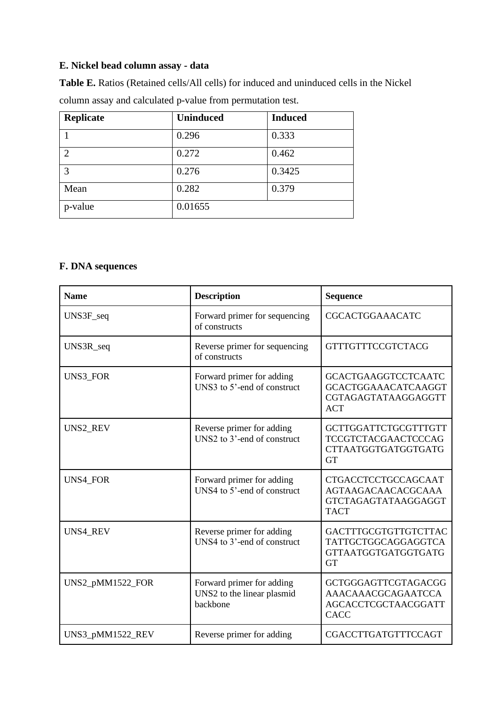# **E. Nickel bead column assay - data**

**Table E.** Ratios (Retained cells/All cells) for induced and uninduced cells in the Nickel column assay and calculated p-value from permutation test.

| Replicate     | <b>Uninduced</b> | <b>Induced</b> |
|---------------|------------------|----------------|
|               | 0.296            | 0.333          |
| $\mathcal{D}$ | 0.272            | 0.462          |
| 3             | 0.276            | 0.3425         |
| Mean          | 0.282            | 0.379          |
| p-value       | 0.01655          |                |

# **F. DNA sequences**

| <b>Name</b>      | <b>Description</b>                                                   | <b>Sequence</b>                                                                                      |
|------------------|----------------------------------------------------------------------|------------------------------------------------------------------------------------------------------|
| UNS3F_seq        | Forward primer for sequencing<br>of constructs                       | <b>CGCACTGGAAACATC</b>                                                                               |
| UNS3R_seq        | Reverse primer for sequencing<br>of constructs                       | <b>GTTTGTTTCCGTCTACG</b>                                                                             |
| <b>UNS3 FOR</b>  | Forward primer for adding<br>UNS3 to 5'-end of construct             | <b>GCACTGAAGGTCCTCAATC</b><br><b>GCACTGGAAACATCAAGGT</b><br>CGTAGAGTATAAGGAGGTT<br><b>ACT</b>        |
| UNS2_REV         | Reverse primer for adding<br>UNS <sub>2</sub> to 3'-end of construct | GCTTGGATTCTGCGTTTGTT<br><b>TCCGTCTACGAACTCCCAG</b><br><b>CTTAATGGTGATGGTGATG</b><br><b>GT</b>        |
| <b>UNS4 FOR</b>  | Forward primer for adding<br>UNS4 to 5'-end of construct             | <b>CTGACCTCCTGCCAGCAAT</b><br><b>AGTAAGACAACACGCAAA</b><br><b>GTCTAGAGTATAAGGAGGT</b><br><b>TACT</b> |
| <b>UNS4 REV</b>  | Reverse primer for adding<br>UNS4 to 3'-end of construct             | GACTTTGCGTGTTGTCTTAC<br>TATTGCTGGCAGGAGGTCA<br><b>GTTAATGGTGATGGTGATG</b><br><b>GT</b>               |
| UNS2_pMM1522_FOR | Forward primer for adding<br>UNS2 to the linear plasmid<br>backbone  | <b>GCTGGGAGTTCGTAGACGG</b><br>AAACAAACGCAGAATCCA<br><b>AGCACCTCGCTAACGGATT</b><br><b>CACC</b>        |
| UNS3_pMM1522_REV | Reverse primer for adding                                            | CGACCTTGATGTTTCCAGT                                                                                  |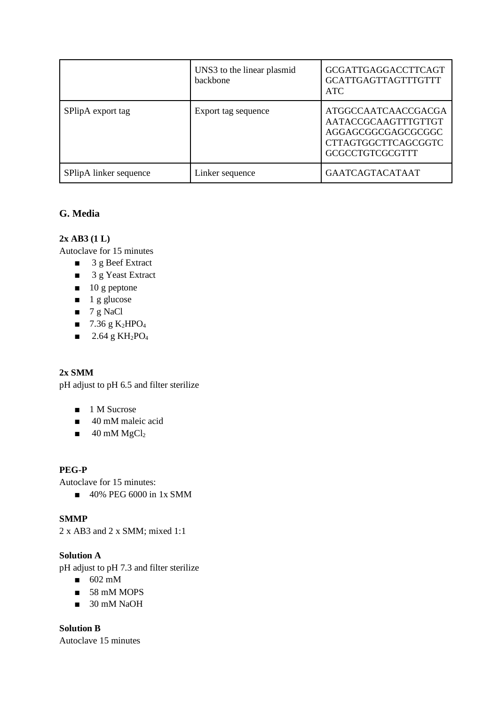|                        | UNS3 to the linear plasmid<br>backbone | <b>GCGATTGAGGACCTTCAGT</b><br><b>GCATTGAGTTAGTTTGTTT</b><br><b>ATC</b>                                                   |
|------------------------|----------------------------------------|--------------------------------------------------------------------------------------------------------------------------|
| SPlipA export tag      | Export tag sequence                    | ATGGCCAATCAACCGACGA<br>AATACCGCAAGTTTGTTGT<br>AGGAGCGGCGAGCGCGGC<br><b>CTTAGTGGCTTCAGCGGTC</b><br><b>GCGCCTGTCGCGTTT</b> |
| SPlipA linker sequence | Linker sequence                        | <b>GAATCAGTACATAAT</b>                                                                                                   |

# **G. Media**

# **2x AB3 (1 L)**

Autoclave for 15 minutes

- 3 g Beef Extract
- 3 g Yeast Extract
- 10 g peptone
- $\blacksquare$  1 g glucose
- $\blacksquare$  7 g NaCl
- $\blacksquare$  7.36 g K<sub>2</sub>HPO<sub>4</sub>
- $\blacksquare$  2.64 g KH<sub>2</sub>PO<sub>4</sub>

# **2x SMM**

pH adjust to pH 6.5 and filter sterilize

- 1 M Sucrose
- 40 mM maleic acid
- $\blacksquare$  40 mM MgCl<sub>2</sub>

# **PEG-P**

Autoclave for 15 minutes:

■ 40% PEG 6000 in 1x SMM

# **SMMP**

2 x AB3 and 2 x SMM; mixed 1:1

## **Solution A**

pH adjust to pH 7.3 and filter sterilize

- $\blacksquare$  602 mM
- 58 mM MOPS
- 30 mM NaOH

**Solution B** Autoclave 15 minutes